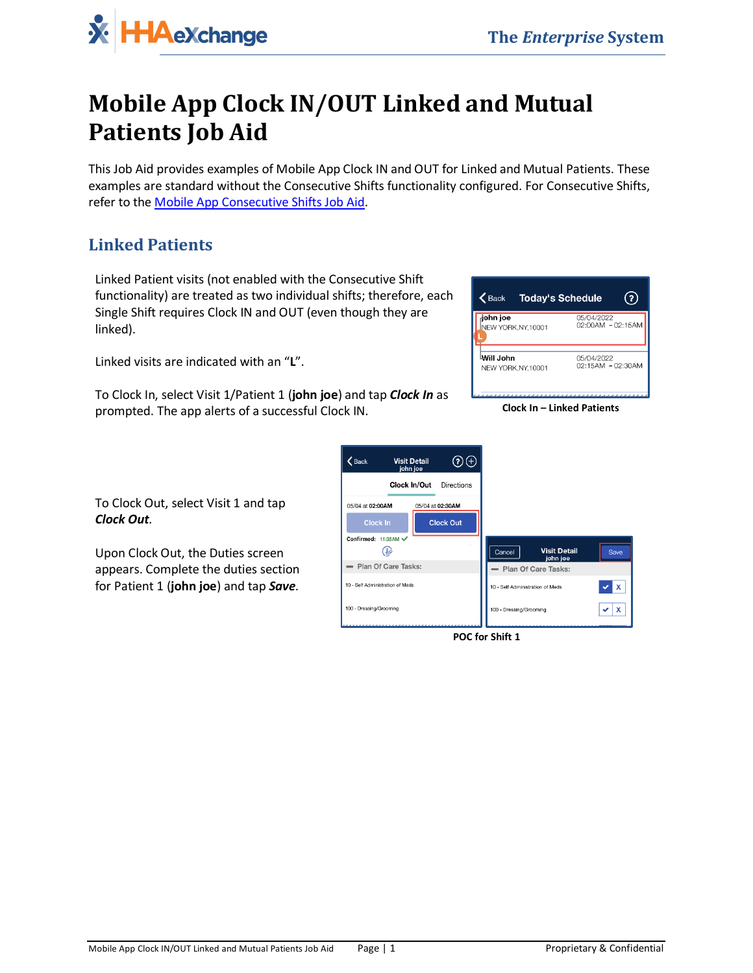

## **Mobile App Clock IN/OUT Linked and Mutual Patients Job Aid**

This Job Aid provides examples of Mobile App Clock IN and OUT for Linked and Mutual Patients. These examples are standard without the Consecutive Shifts functionality configured. For Consecutive Shifts, refer to the [Mobile App Consecutive Shifts Job Aid.](https://s3.amazonaws.com/hhaxsupport/SupportDocs/Enterprise/Job+Aids/Enterprise+Job+Aid+-+Mobile+App+Consecutive+Shifts.pdf)

## **Linked Patients**

Linked Patient visits (not enabled with the Consecutive Shift functionality) are treated as two individual shifts; therefore, each Single Shift requires Clock IN and OUT (even though they are linked).

Linked visits are indicated with an "**L**".

To Clock In, select Visit 1/Patient 1 (**john joe**) and tap *Clock In* as prompted. The app alerts of a successful Clock IN. **Clock In – Linked Patients**

| john joe<br>NEW YORK, NY, 10001 | 05/04/2022<br>02:00AM - 02:15AM |
|---------------------------------|---------------------------------|
| Will John                       | 05/04/2022                      |
| NEW YORK, NY, 10001             | 02:15AM - 02:30AM               |

To Clock Out, select Visit 1 and tap *Clock Out*.

Upon Clock Out, the Duties screen appears. Complete the duties section for Patient 1 (**john joe**) and tap *Save*.



**POC for Shift 1**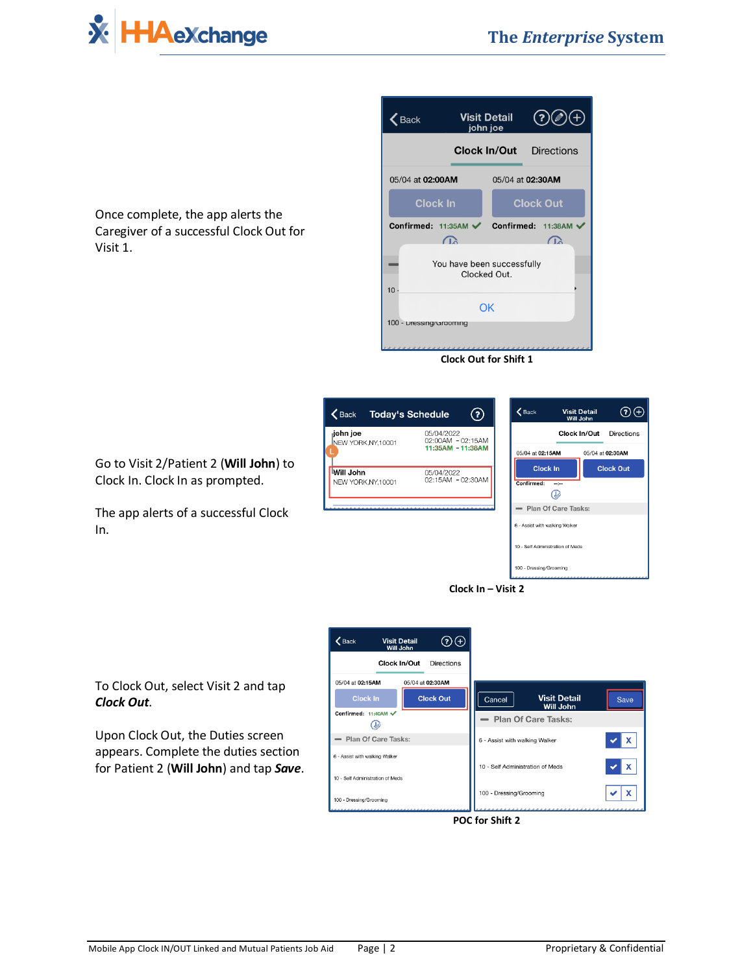

Visit 1.

 $(2)(2) (+)$ 

**Directions** 

 $\Omega$ 

**Clock Out** 



 $\zeta$  Back

100 - Dressing/Grooming

**Visit Detail** 

john joe

**Clock Out for Shift 1**



Go to Visit 2/Patient 2 (**Will John**) to Clock In. Clock In as prompted.

The app alerts of a successful Clock In.



To Clock Out, select Visit 2 and tap *Clock Out*.

Upon Clock Out, the Duties screen appears. Complete the duties section for Patient 2 (**Will John**) and tap *Save*.



**POC for Shift 2**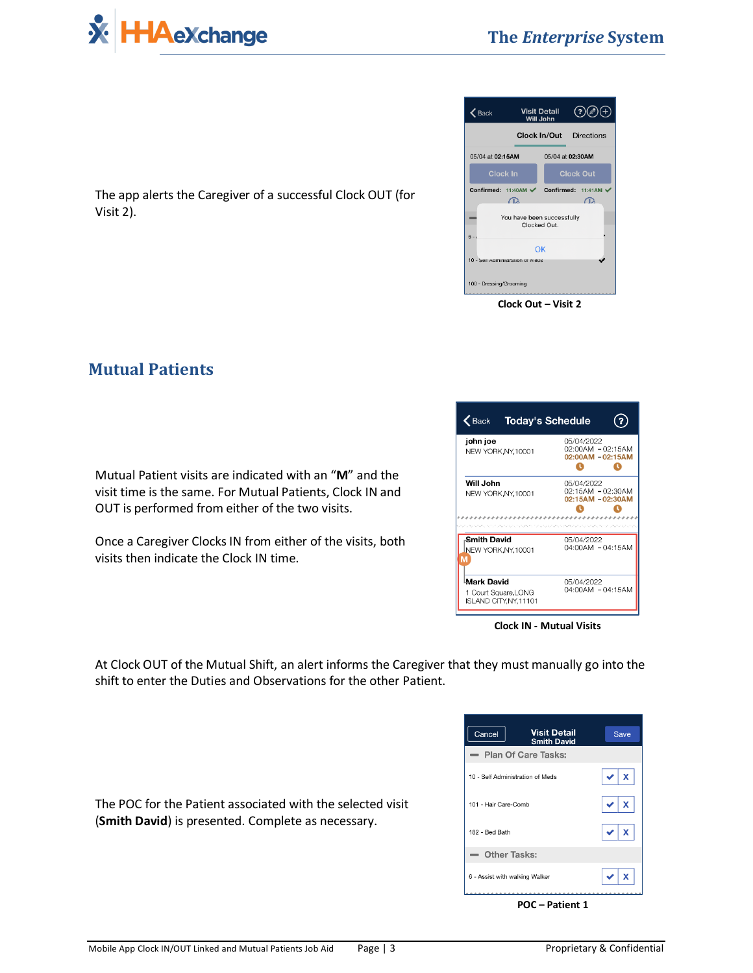



The app alerts the Caregiver of a successful Clock OUT (for Visit 2).

## **Mutual Patients**

Mutual Patient visits are indicated with an "**M**" and the visit time is the same. For Mutual Patients, Clock IN and OUT is performed from either of the two visits.

Once a Caregiver Clocks IN from either of the visits, both visits then indicate the Clock IN time.

| <b>Today's Schedule</b><br>$\bigwedge$ Back          |  |
|------------------------------------------------------|--|
| 05/04/2022<br>02:00AM - 02:15AM<br>02:00AM - 02:15AM |  |
| 05/04/2022<br>02:15AM - 02:30AM<br>02:15AM - 02:30AM |  |
| 05/04/2022<br>04:00AM - 04:15AM                      |  |
| 05/04/2022<br>04:00AM - 04:15AM                      |  |
|                                                      |  |

**Clock IN - Mutual Visits**

At Clock OUT of the Mutual Shift, an alert informs the Caregiver that they must manually go into the shift to enter the Duties and Observations for the other Patient.

| <b>Visit Detail</b><br>Cancel<br><b>Smith David</b> | Save                     |
|-----------------------------------------------------|--------------------------|
| - Plan Of Care Tasks:                               |                          |
| 10 - Self Administration of Meds                    | $\mathbf{x}$             |
| 101 - Hair Care-Comb                                | $\mathbf{x}$             |
| 182 - Bed Bath                                      | $\mathbf x$<br>$\bullet$ |
| - Other Tasks:                                      |                          |
| 6 - Assist with walking Walker                      | X                        |

**POC – Patient 1**

The POC for the Patient associated with the selected visit (**Smith David**) is presented. Complete as necessary.